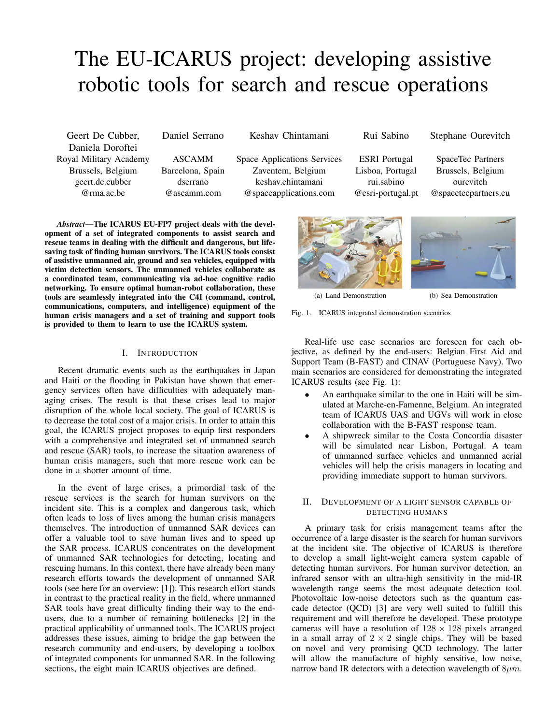# The EU-ICARUS project: developing assistive robotic tools for search and rescue operations

Daniel Serrano

Keshav Chintamani

Rui Sabino

ESRI Portugal Lisboa, Portugal rui.sabino

Stephane Ourevitch

SpaceTec Partners Brussels, Belgium ourevitch @spacetecpartners.eu

Royal Military Academy ASCAMM Barcelona, Spain dserrano @ascamm.com

Geert De Cubber, Daniela Doroftei

Brussels, Belgium geert.de.cubber @rma.ac.be

Space Applications Services Zaventem, Belgium keshav.chintamani @spaceapplications.com

*Abstract*—The ICARUS EU-FP7 project deals with the development of a set of integrated components to assist search and rescue teams in dealing with the difficult and dangerous, but lifesaving task of finding human survivors. The ICARUS tools consist of assistive unmanned air, ground and sea vehicles, equipped with victim detection sensors. The unmanned vehicles collaborate as a coordinated team, communicating via ad-hoc cognitive radio networking. To ensure optimal human-robot collaboration, these tools are seamlessly integrated into the C4I (command, control, communications, computers, and intelligence) equipment of the human crisis managers and a set of training and support tools is provided to them to learn to use the ICARUS system.

# I. INTRODUCTION

Recent dramatic events such as the earthquakes in Japan and Haiti or the flooding in Pakistan have shown that emergency services often have difficulties with adequately managing crises. The result is that these crises lead to major disruption of the whole local society. The goal of ICARUS is to decrease the total cost of a major crisis. In order to attain this goal, the ICARUS project proposes to equip first responders with a comprehensive and integrated set of unmanned search and rescue (SAR) tools, to increase the situation awareness of human crisis managers, such that more rescue work can be done in a shorter amount of time.

In the event of large crises, a primordial task of the rescue services is the search for human survivors on the incident site. This is a complex and dangerous task, which often leads to loss of lives among the human crisis managers themselves. The introduction of unmanned SAR devices can offer a valuable tool to save human lives and to speed up the SAR process. ICARUS concentrates on the development of unmanned SAR technologies for detecting, locating and rescuing humans. In this context, there have already been many research efforts towards the development of unmanned SAR tools (see here for an overview: [1]). This research effort stands in contrast to the practical reality in the field, where unmanned SAR tools have great difficulty finding their way to the endusers, due to a number of remaining bottlenecks [2] in the practical applicability of unmanned tools. The ICARUS project addresses these issues, aiming to bridge the gap between the research community and end-users, by developing a toolbox of integrated components for unmanned SAR. In the following sections, the eight main ICARUS objectives are defined.





(a) Land Demonstration (b) Sea Demonstration

Fig. 1. ICARUS integrated demonstration scenarios

Real-life use case scenarios are foreseen for each objective, as defined by the end-users: Belgian First Aid and Support Team (B-FAST) and CINAV (Portuguese Navy). Two main scenarios are considered for demonstrating the integrated ICARUS results (see Fig. 1):

- An earthquake similar to the one in Haiti will be simulated at Marche-en-Famenne, Belgium. An integrated team of ICARUS UAS and UGVs will work in close collaboration with the B-FAST response team.
- A shipwreck similar to the Costa Concordia disaster will be simulated near Lisbon, Portugal. A team of unmanned surface vehicles and unmanned aerial vehicles will help the crisis managers in locating and providing immediate support to human survivors.

# II. DEVELOPMENT OF A LIGHT SENSOR CAPABLE OF DETECTING HUMANS

A primary task for crisis management teams after the occurrence of a large disaster is the search for human survivors at the incident site. The objective of ICARUS is therefore to develop a small light-weight camera system capable of detecting human survivors. For human survivor detection, an infrared sensor with an ultra-high sensitivity in the mid-IR wavelength range seems the most adequate detection tool. Photovoltaic low-noise detectors such as the quantum cascade detector (QCD) [3] are very well suited to fulfill this requirement and will therefore be developed. These prototype cameras will have a resolution of  $128 \times 128$  pixels arranged in a small array of  $2 \times 2$  single chips. They will be based on novel and very promising QCD technology. The latter will allow the manufacture of highly sensitive, low noise, narrow band IR detectors with a detection wavelength of  $8\mu m$ .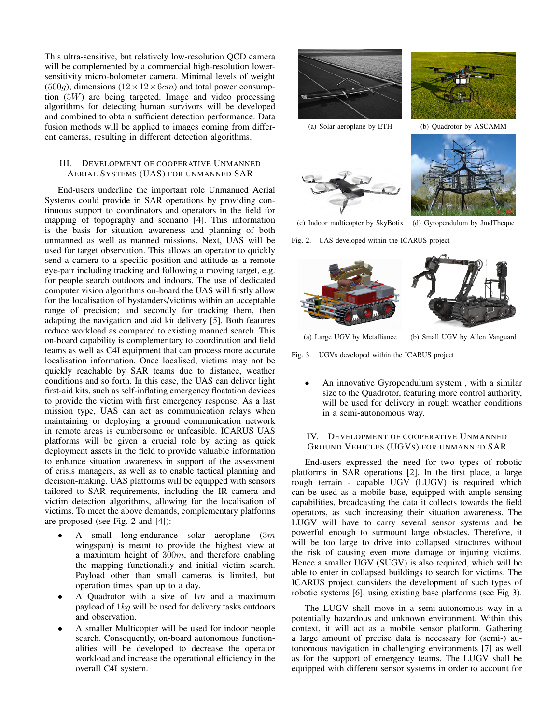This ultra-sensitive, but relatively low-resolution QCD camera will be complemented by a commercial high-resolution lowersensitivity micro-bolometer camera. Minimal levels of weight  $(500q)$ , dimensions  $(12 \times 12 \times 6cm)$  and total power consumption (5W) are being targeted. Image and video processing algorithms for detecting human survivors will be developed and combined to obtain sufficient detection performance. Data fusion methods will be applied to images coming from different cameras, resulting in different detection algorithms.

# III. DEVELOPMENT OF COOPERATIVE UNMANNED AERIAL SYSTEMS (UAS) FOR UNMANNED SAR

End-users underline the important role Unmanned Aerial Systems could provide in SAR operations by providing continuous support to coordinators and operators in the field for mapping of topography and scenario [4]. This information is the basis for situation awareness and planning of both unmanned as well as manned missions. Next, UAS will be used for target observation. This allows an operator to quickly send a camera to a specific position and attitude as a remote eye-pair including tracking and following a moving target, e.g. for people search outdoors and indoors. The use of dedicated computer vision algorithms on-board the UAS will firstly allow for the localisation of bystanders/victims within an acceptable range of precision; and secondly for tracking them, then adapting the navigation and aid kit delivery [5]. Both features reduce workload as compared to existing manned search. This on-board capability is complementary to coordination and field teams as well as C4I equipment that can process more accurate localisation information. Once localised, victims may not be quickly reachable by SAR teams due to distance, weather conditions and so forth. In this case, the UAS can deliver light first-aid kits, such as self-inflating emergency floatation devices to provide the victim with first emergency response. As a last mission type, UAS can act as communication relays when maintaining or deploying a ground communication network in remote areas is cumbersome or unfeasible. ICARUS UAS platforms will be given a crucial role by acting as quick deployment assets in the field to provide valuable information to enhance situation awareness in support of the assessment of crisis managers, as well as to enable tactical planning and decision-making. UAS platforms will be equipped with sensors tailored to SAR requirements, including the IR camera and victim detection algorithms, allowing for the localisation of victims. To meet the above demands, complementary platforms are proposed (see Fig. 2 and [4]):

- A small long-endurance solar aeroplane  $(3m)$ wingspan) is meant to provide the highest view at a maximum height of 300m, and therefore enabling the mapping functionality and initial victim search. Payload other than small cameras is limited, but operation times span up to a day.
- A Quadrotor with a size of  $1m$  and a maximum payload of  $1kq$  will be used for delivery tasks outdoors and observation.
- A smaller Multicopter will be used for indoor people search. Consequently, on-board autonomous functionalities will be developed to decrease the operator workload and increase the operational efficiency in the overall C4I system.





(a) Solar aeroplane by ETH (b) Quadrotor by ASCAMM





(c) Indoor multicopter by SkyBotix (d) Gyropendulum by JmdTheque

Fig. 2. UAS developed within the ICARUS project



(a) Large UGV by Metalliance (b) Small UGV by Allen Vanguard

Fig. 3. UGVs developed within the ICARUS project

An innovative Gyropendulum system, with a similar size to the Quadrotor, featuring more control authority, will be used for delivery in rough weather conditions in a semi-autonomous way.

# IV. DEVELOPMENT OF COOPERATIVE UNMANNED GROUND VEHICLES (UGVS) FOR UNMANNED SAR

End-users expressed the need for two types of robotic platforms in SAR operations [2]. In the first place, a large rough terrain - capable UGV (LUGV) is required which can be used as a mobile base, equipped with ample sensing capabilities, broadcasting the data it collects towards the field operators, as such increasing their situation awareness. The LUGV will have to carry several sensor systems and be powerful enough to surmount large obstacles. Therefore, it will be too large to drive into collapsed structures without the risk of causing even more damage or injuring victims. Hence a smaller UGV (SUGV) is also required, which will be able to enter in collapsed buildings to search for victims. The ICARUS project considers the development of such types of robotic systems [6], using existing base platforms (see Fig 3).

The LUGV shall move in a semi-autonomous way in a potentially hazardous and unknown environment. Within this context, it will act as a mobile sensor platform. Gathering a large amount of precise data is necessary for (semi-) autonomous navigation in challenging environments [7] as well as for the support of emergency teams. The LUGV shall be equipped with different sensor systems in order to account for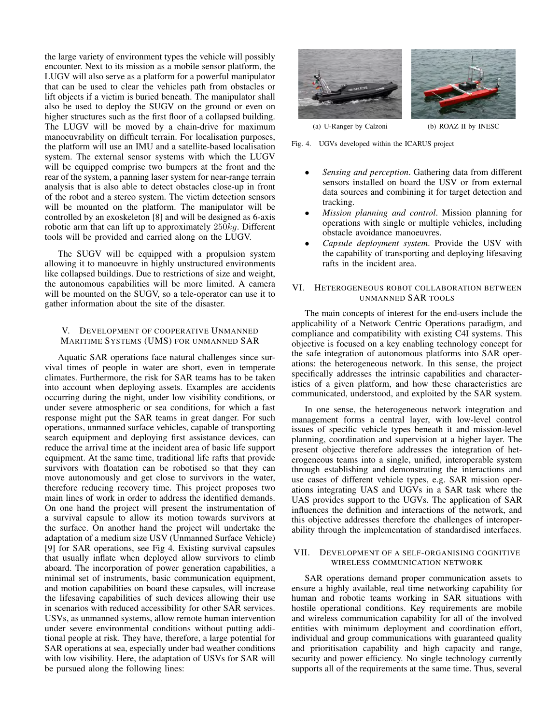the large variety of environment types the vehicle will possibly encounter. Next to its mission as a mobile sensor platform, the LUGV will also serve as a platform for a powerful manipulator that can be used to clear the vehicles path from obstacles or lift objects if a victim is buried beneath. The manipulator shall also be used to deploy the SUGV on the ground or even on higher structures such as the first floor of a collapsed building. The LUGV will be moved by a chain-drive for maximum manoeuvrability on difficult terrain. For localisation purposes, the platform will use an IMU and a satellite-based localisation system. The external sensor systems with which the LUGV will be equipped comprise two bumpers at the front and the rear of the system, a panning laser system for near-range terrain analysis that is also able to detect obstacles close-up in front of the robot and a stereo system. The victim detection sensors will be mounted on the platform. The manipulator will be controlled by an exoskeleton [8] and will be designed as 6-axis robotic arm that can lift up to approximately  $250kg$ . Different tools will be provided and carried along on the LUGV.

The SUGV will be equipped with a propulsion system allowing it to manoeuvre in highly unstructured environments like collapsed buildings. Due to restrictions of size and weight, the autonomous capabilities will be more limited. A camera will be mounted on the SUGV, so a tele-operator can use it to gather information about the site of the disaster.

# V. DEVELOPMENT OF COOPERATIVE UNMANNED MARITIME SYSTEMS (UMS) FOR UNMANNED SAR

Aquatic SAR operations face natural challenges since survival times of people in water are short, even in temperate climates. Furthermore, the risk for SAR teams has to be taken into account when deploying assets. Examples are accidents occurring during the night, under low visibility conditions, or under severe atmospheric or sea conditions, for which a fast response might put the SAR teams in great danger. For such operations, unmanned surface vehicles, capable of transporting search equipment and deploying first assistance devices, can reduce the arrival time at the incident area of basic life support equipment. At the same time, traditional life rafts that provide survivors with floatation can be robotised so that they can move autonomously and get close to survivors in the water, therefore reducing recovery time. This project proposes two main lines of work in order to address the identified demands. On one hand the project will present the instrumentation of a survival capsule to allow its motion towards survivors at the surface. On another hand the project will undertake the adaptation of a medium size USV (Unmanned Surface Vehicle) [9] for SAR operations, see Fig 4. Existing survival capsules that usually inflate when deployed allow survivors to climb aboard. The incorporation of power generation capabilities, a minimal set of instruments, basic communication equipment, and motion capabilities on board these capsules, will increase the lifesaving capabilities of such devices allowing their use in scenarios with reduced accessibility for other SAR services. USVs, as unmanned systems, allow remote human intervention under severe environmental conditions without putting additional people at risk. They have, therefore, a large potential for SAR operations at sea, especially under bad weather conditions with low visibility. Here, the adaptation of USVs for SAR will be pursued along the following lines:



Fig. 4. UGVs developed within the ICARUS project

- *Sensing and perception*. Gathering data from different sensors installed on board the USV or from external data sources and combining it for target detection and tracking.
- *Mission planning and control*. Mission planning for operations with single or multiple vehicles, including obstacle avoidance manoeuvres.
- *Capsule deployment system*. Provide the USV with the capability of transporting and deploying lifesaving rafts in the incident area.

### VI. HETEROGENEOUS ROBOT COLLABORATION BETWEEN UNMANNED SAR TOOLS

The main concepts of interest for the end-users include the applicability of a Network Centric Operations paradigm, and compliance and compatibility with existing C4I systems. This objective is focused on a key enabling technology concept for the safe integration of autonomous platforms into SAR operations: the heterogeneous network. In this sense, the project specifically addresses the intrinsic capabilities and characteristics of a given platform, and how these characteristics are communicated, understood, and exploited by the SAR system.

In one sense, the heterogeneous network integration and management forms a central layer, with low-level control issues of specific vehicle types beneath it and mission-level planning, coordination and supervision at a higher layer. The present objective therefore addresses the integration of heterogeneous teams into a single, unified, interoperable system through establishing and demonstrating the interactions and use cases of different vehicle types, e.g. SAR mission operations integrating UAS and UGVs in a SAR task where the UAS provides support to the UGVs. The application of SAR influences the definition and interactions of the network, and this objective addresses therefore the challenges of interoperability through the implementation of standardised interfaces.

#### VII. DEVELOPMENT OF A SELF-ORGANISING COGNITIVE WIRELESS COMMUNICATION NETWORK

SAR operations demand proper communication assets to ensure a highly available, real time networking capability for human and robotic teams working in SAR situations with hostile operational conditions. Key requirements are mobile and wireless communication capability for all of the involved entities with minimum deployment and coordination effort, individual and group communications with guaranteed quality and prioritisation capability and high capacity and range, security and power efficiency. No single technology currently supports all of the requirements at the same time. Thus, several